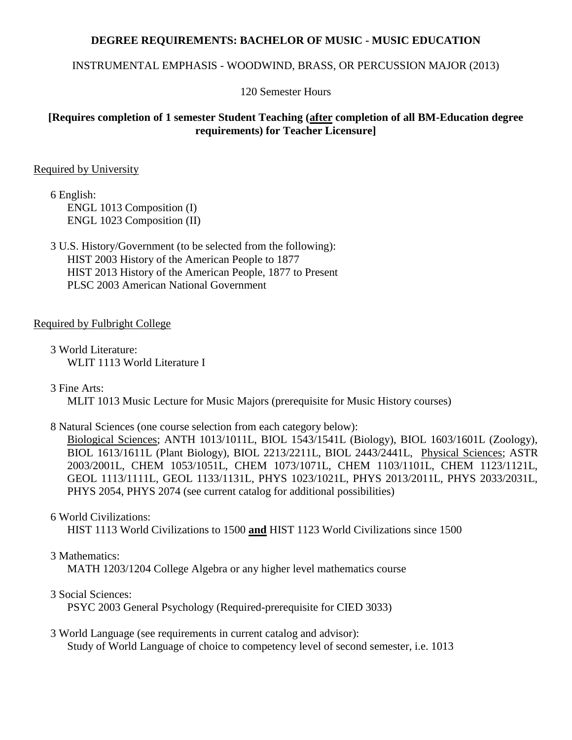### **DEGREE REQUIREMENTS: BACHELOR OF MUSIC - MUSIC EDUCATION**

#### INSTRUMENTAL EMPHASIS - WOODWIND, BRASS, OR PERCUSSION MAJOR (2013)

120 Semester Hours

## **[Requires completion of 1 semester Student Teaching (after completion of all BM-Education degree requirements) for Teacher Licensure]**

#### Required by University

6 English: ENGL 1013 Composition (I) ENGL 1023 Composition (II)

3 U.S. History/Government (to be selected from the following): HIST 2003 History of the American People to 1877 HIST 2013 History of the American People, 1877 to Present PLSC 2003 American National Government

#### Required by Fulbright College

3 World Literature: WLIT 1113 World Literature I

3 Fine Arts:

MLIT 1013 Music Lecture for Music Majors (prerequisite for Music History courses)

#### 8 Natural Sciences (one course selection from each category below):

Biological Sciences; ANTH 1013/1011L, BIOL 1543/1541L (Biology), BIOL 1603/1601L (Zoology), BIOL 1613/1611L (Plant Biology), BIOL 2213/2211L, BIOL 2443/2441L, Physical Sciences; ASTR 2003/2001L, CHEM 1053/1051L, CHEM 1073/1071L, CHEM 1103/1101L, CHEM 1123/1121L, GEOL 1113/1111L, GEOL 1133/1131L, PHYS 1023/1021L, PHYS 2013/2011L, PHYS 2033/2031L, PHYS 2054, PHYS 2074 (see current catalog for additional possibilities)

#### 6 World Civilizations:

HIST 1113 World Civilizations to 1500 **and** HIST 1123 World Civilizations since 1500

#### 3 Mathematics:

MATH 1203/1204 College Algebra or any higher level mathematics course

#### 3 Social Sciences:

PSYC 2003 General Psychology (Required-prerequisite for CIED 3033)

#### 3 World Language (see requirements in current catalog and advisor): Study of World Language of choice to competency level of second semester, i.e. 1013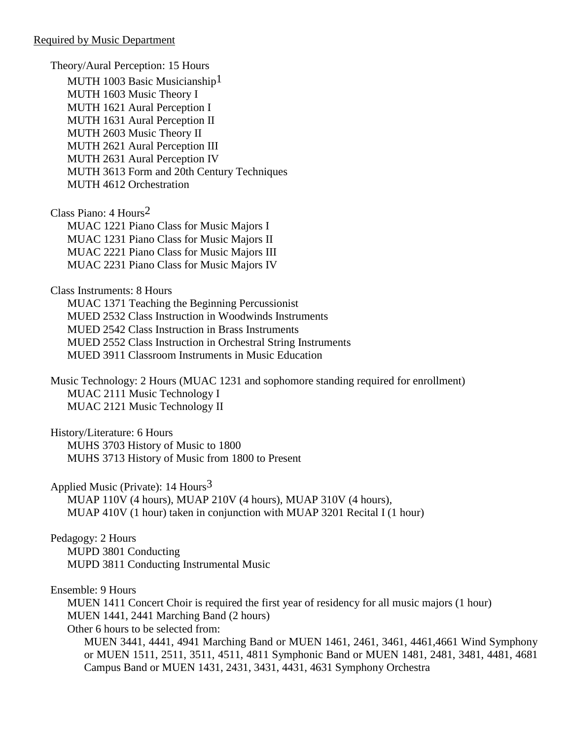Theory/Aural Perception: 15 Hours MUTH 1003 Basic Musicianship<sup>1</sup> MUTH 1603 Music Theory I MUTH 1621 Aural Perception I MUTH 1631 Aural Perception II MUTH 2603 Music Theory II MUTH 2621 Aural Perception III MUTH 2631 Aural Perception IV MUTH 3613 Form and 20th Century Techniques MUTH 4612 Orchestration Class Piano: 4 Hours2 MUAC 1221 Piano Class for Music Majors I

MUAC 1231 Piano Class for Music Majors II MUAC 2221 Piano Class for Music Majors III MUAC 2231 Piano Class for Music Majors IV

Class Instruments: 8 Hours

MUAC 1371 Teaching the Beginning Percussionist MUED 2532 Class Instruction in Woodwinds Instruments MUED 2542 Class Instruction in Brass Instruments MUED 2552 Class Instruction in Orchestral String Instruments MUED 3911 Classroom Instruments in Music Education

Music Technology: 2 Hours (MUAC 1231 and sophomore standing required for enrollment) MUAC 2111 Music Technology I MUAC 2121 Music Technology II

History/Literature: 6 Hours MUHS 3703 History of Music to 1800 MUHS 3713 History of Music from 1800 to Present

Applied Music (Private):  $14$  Hours<sup>3</sup> MUAP 110V (4 hours), MUAP 210V (4 hours), MUAP 310V (4 hours), MUAP 410V (1 hour) taken in conjunction with MUAP 3201 Recital I (1 hour)

Pedagogy: 2 Hours MUPD 3801 Conducting MUPD 3811 Conducting Instrumental Music

Ensemble: 9 Hours

MUEN 1411 Concert Choir is required the first year of residency for all music majors (1 hour) MUEN 1441, 2441 Marching Band (2 hours) Other 6 hours to be selected from:

MUEN 3441, 4441, 4941 Marching Band or MUEN 1461, 2461, 3461, 4461,4661 Wind Symphony or MUEN 1511, 2511, 3511, 4511, 4811 Symphonic Band or MUEN 1481, 2481, 3481, 4481, 4681 Campus Band or MUEN 1431, 2431, 3431, 4431, 4631 Symphony Orchestra